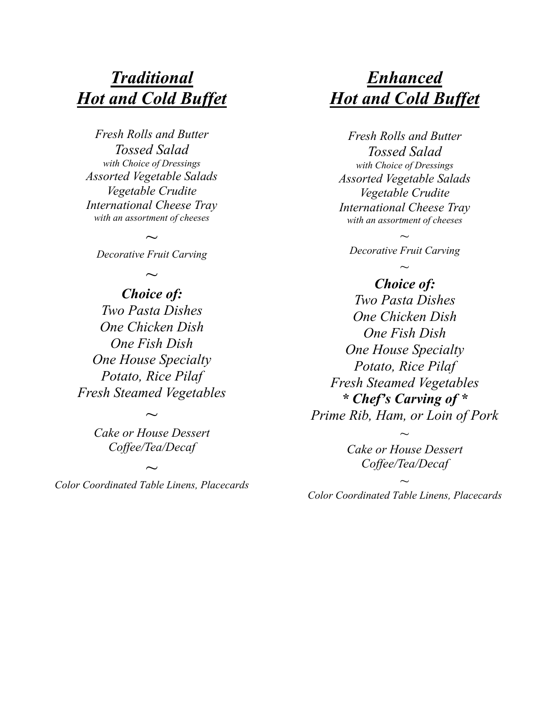### *Traditional Hot and Cold Buffet*

*Fresh Rolls and Butter Tossed Salad with Choice of Dressings Assorted Vegetable Salads Vegetable Crudite International Cheese Tray with an assortment of cheeses*

*~ Decorative Fruit Carving*

# *~*

*Choice of: Two Pasta Dishes One Chicken Dish One Fish Dish One House Specialty Potato, Rice Pilaf Fresh Steamed Vegetables*

> *~ Cake or House Dessert Coffee/Tea/Decaf*

*Color Coordinated Table Linens, Placecards*

*~*

## *Enhanced Hot and Cold Buffet*

*Fresh Rolls and Butter Tossed Salad with Choice of Dressings Assorted Vegetable Salads Vegetable Crudite International Cheese Tray with an assortment of cheeses*

*~ Decorative Fruit Carving ~*

*Choice of: Two Pasta Dishes One Chicken Dish One Fish Dish One House Specialty Potato, Rice Pilaf Fresh Steamed Vegetables \* Chef's Carving of \* Prime Rib, Ham, or Loin of Pork*

> *Cake or House Dessert Coffee/Tea/Decaf*

*~*

*~ Color Coordinated Table Linens, Placecards*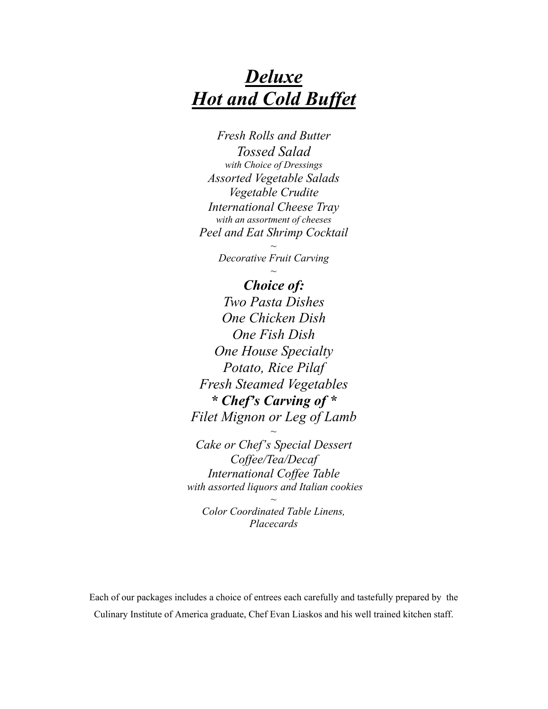# *Deluxe Hot and Cold Buffet*

*Fresh Rolls and Butter Tossed Salad with Choice of Dressings Assorted Vegetable Salads Vegetable Crudite International Cheese Tray with an assortment of cheeses Peel and Eat Shrimp Cocktail*

> *~ Decorative Fruit Carving ~*

*Choice of: Two Pasta Dishes One Chicken Dish One Fish Dish One House Specialty Potato, Rice Pilaf Fresh Steamed Vegetables \* Chef's Carving of \* Filet Mignon or Leg of Lamb*

*Cake or Chef's Special Dessert Coffee/Tea/Decaf International Coffee Table with assorted liquors and Italian cookies*

*~*

*Color Coordinated Table Linens, Placecards*

*~*

Each of our packages includes a choice of entrees each carefully and tastefully prepared by the Culinary Institute of America graduate, Chef Evan Liaskos and his well trained kitchen staff.